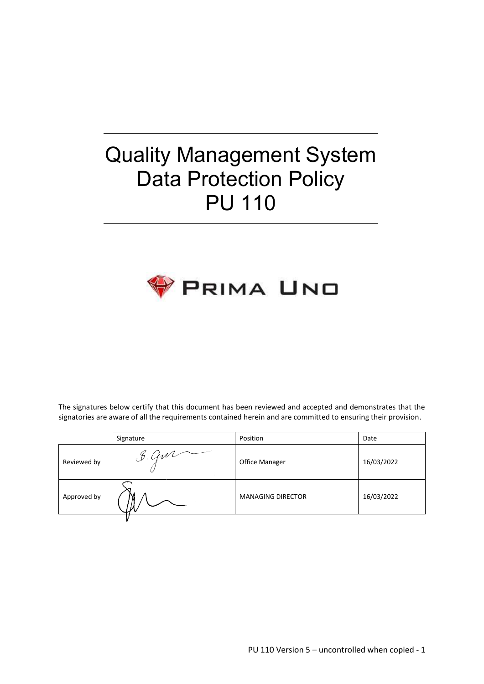# Quality Management System Data Protection Policy PU 110



The signatures below certify that this document has been reviewed and accepted and demonstrates that the signatories are aware of all the requirements contained herein and are committed to ensuring their provision.

|             | Signature                   | Position                 | Date       |
|-------------|-----------------------------|--------------------------|------------|
| Reviewed by | B. Qw1<br><b>Contractor</b> | Office Manager           | 16/03/2022 |
| Approved by |                             | <b>MANAGING DIRECTOR</b> | 16/03/2022 |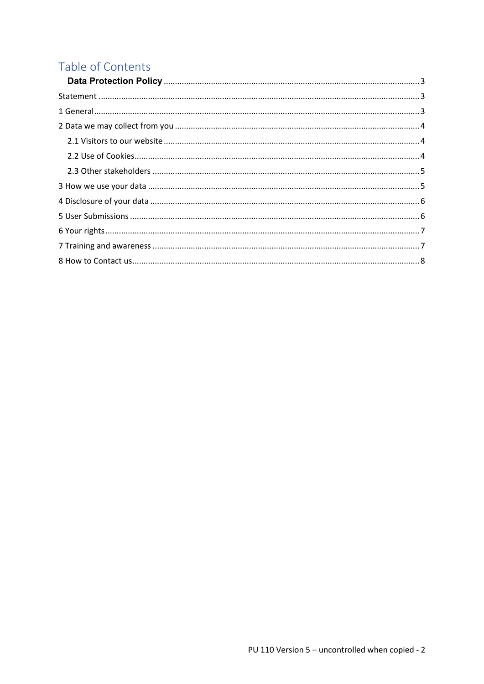# Table of Contents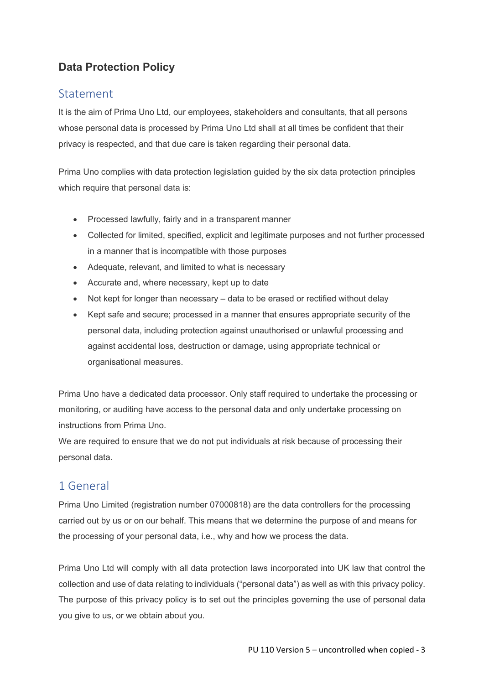# <span id="page-2-0"></span>**Data Protection Policy**

# <span id="page-2-1"></span>**Statement**

It is the aim of Prima Uno Ltd, our employees, stakeholders and consultants, that all persons whose personal data is processed by Prima Uno Ltd shall at all times be confident that their privacy is respected, and that due care is taken regarding their personal data.

<span id="page-2-2"></span>Prima Uno complies with data protection legislation guided by the six data protection principles which require that personal data is:

- Processed lawfully, fairly and in a transparent manner
- Collected for limited, specified, explicit and legitimate purposes and not further processed in a manner that is incompatible with those purposes
- Adequate, relevant, and limited to what is necessary
- Accurate and, where necessary, kept up to date
- Not kept for longer than necessary data to be erased or rectified without delay
- Kept safe and secure; processed in a manner that ensures appropriate security of the personal data, including protection against unauthorised or unlawful processing and against accidental loss, destruction or damage, using appropriate technical or organisational measures.

Prima Uno have a dedicated data processor. Only staff required to undertake the processing or monitoring, or auditing have access to the personal data and only undertake processing on instructions from Prima Uno.

We are required to ensure that we do not put individuals at risk because of processing their personal data.

# 1 General

Prima Uno Limited (registration number 07000818) are the data controllers for the processing carried out by us or on our behalf. This means that we determine the purpose of and means for the processing of your personal data, i.e., why and how we process the data.

Prima Uno Ltd will comply with all data protection laws incorporated into UK law that control the collection and use of data relating to individuals ("personal data") as well as with this privacy policy. The purpose of this privacy policy is to set out the principles governing the use of personal data you give to us, or we obtain about you.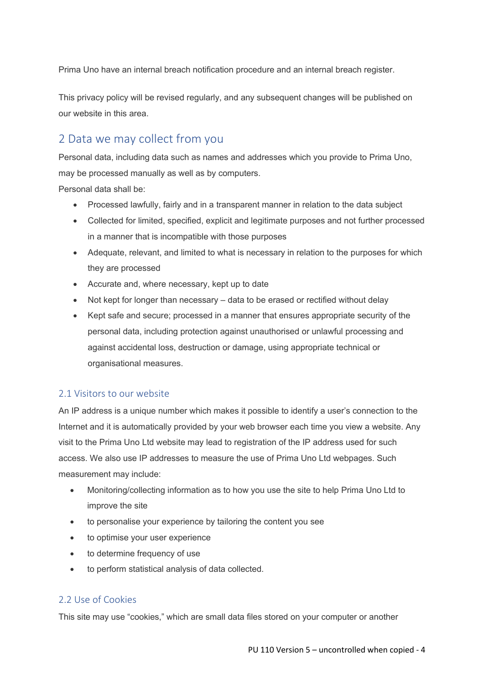Prima Uno have an internal breach notification procedure and an internal breach register.

This privacy policy will be revised regularly, and any subsequent changes will be published on our website in this area.

# <span id="page-3-0"></span>2 Data we may collect from you

Personal data, including data such as names and addresses which you provide to Prima Uno, may be processed manually as well as by computers.

Personal data shall be:

- Processed lawfully, fairly and in a transparent manner in relation to the data subject
- Collected for limited, specified, explicit and legitimate purposes and not further processed in a manner that is incompatible with those purposes
- Adequate, relevant, and limited to what is necessary in relation to the purposes for which they are processed
- Accurate and, where necessary, kept up to date
- Not kept for longer than necessary data to be erased or rectified without delay
- Kept safe and secure; processed in a manner that ensures appropriate security of the personal data, including protection against unauthorised or unlawful processing and against accidental loss, destruction or damage, using appropriate technical or organisational measures.

#### <span id="page-3-1"></span>2.1 Visitors to our website

An IP address is a unique number which makes it possible to identify a user's connection to the Internet and it is automatically provided by your web browser each time you view a website. Any visit to the Prima Uno Ltd website may lead to registration of the IP address used for such access. We also use IP addresses to measure the use of Prima Uno Ltd webpages. Such measurement may include:

- Monitoring/collecting information as to how you use the site to help Prima Uno Ltd to improve the site
- to personalise your experience by tailoring the content you see
- to optimise your user experience
- to determine frequency of use
- to perform statistical analysis of data collected.

#### <span id="page-3-2"></span>2.2 Use of Cookies

This site may use "cookies," which are small data files stored on your computer or another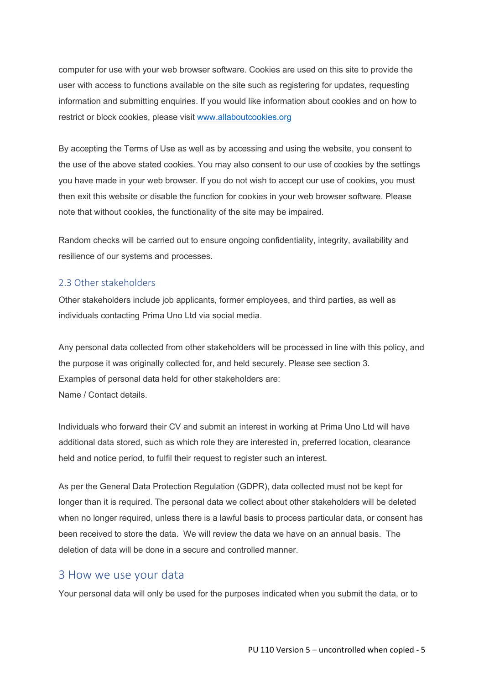computer for use with your web browser software. Cookies are used on this site to provide the user with access to functions available on the site such as registering for updates, requesting information and submitting enquiries. If you would like information about cookies and on how to restrict or block cookies, please visit [www.allaboutcookies.org](http://www.allaboutcookies.org/)

By accepting the Terms of Use as well as by accessing and using the website, you consent to the use of the above stated cookies. You may also consent to our use of cookies by the settings you have made in your web browser. If you do not wish to accept our use of cookies, you must then exit this website or disable the function for cookies in your web browser software. Please note that without cookies, the functionality of the site may be impaired.

Random checks will be carried out to ensure ongoing confidentiality, integrity, availability and resilience of our systems and processes.

#### <span id="page-4-0"></span>2.3 Other stakeholders

Other stakeholders include job applicants, former employees, and third parties, as well as individuals contacting Prima Uno Ltd via social media.

Any personal data collected from other stakeholders will be processed in line with this policy, and the purpose it was originally collected for, and held securely. Please see section 3. Examples of personal data held for other stakeholders are: Name / Contact details.

Individuals who forward their CV and submit an interest in working at Prima Uno Ltd will have additional data stored, such as which role they are interested in, preferred location, clearance held and notice period, to fulfil their request to register such an interest.

As per the General Data Protection Regulation (GDPR), data collected must not be kept for longer than it is required. The personal data we collect about other stakeholders will be deleted when no longer required, unless there is a lawful basis to process particular data, or consent has been received to store the data. We will review the data we have on an annual basis. The deletion of data will be done in a secure and controlled manner.

#### <span id="page-4-1"></span>3 How we use your data

Your personal data will only be used for the purposes indicated when you submit the data, or to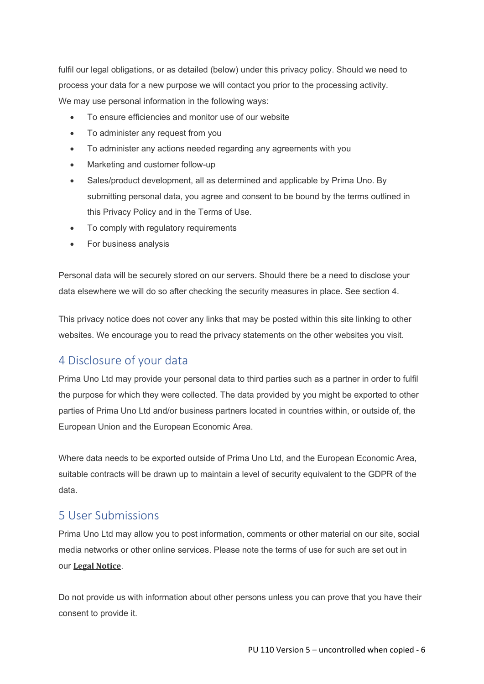fulfil our legal obligations, or as detailed (below) under this privacy policy. Should we need to process your data for a new purpose we will contact you prior to the processing activity. We may use personal information in the following ways:

- To ensure efficiencies and monitor use of our website
- To administer any request from you
- To administer any actions needed regarding any agreements with you
- Marketing and customer follow-up
- Sales/product development, all as determined and applicable by Prima Uno. By submitting personal data, you agree and consent to be bound by the terms outlined in this Privacy Policy and in the Terms of Use.
- To comply with regulatory requirements
- For business analysis

Personal data will be securely stored on our servers. Should there be a need to disclose your data elsewhere we will do so after checking the security measures in place. See section 4.

This privacy notice does not cover any links that may be posted within this site linking to other websites. We encourage you to read the privacy statements on the other websites you visit.

# <span id="page-5-0"></span>4 Disclosure of your data

Prima Uno Ltd may provide your personal data to third parties such as a partner in order to fulfil the purpose for which they were collected. The data provided by you might be exported to other parties of Prima Uno Ltd and/or business partners located in countries within, or outside of, the European Union and the European Economic Area.

Where data needs to be exported outside of Prima Uno Ltd, and the European Economic Area, suitable contracts will be drawn up to maintain a level of security equivalent to the GDPR of the data.

### <span id="page-5-1"></span>5 User Submissions

Prima Uno Ltd may allow you to post information, comments or other material on our site, social media networks or other online services. Please note the terms of use for such are set out in our **Legal [Notice](http://www.westcumbriamining.com/terms-use/)**.

Do not provide us with information about other persons unless you can prove that you have their consent to provide it.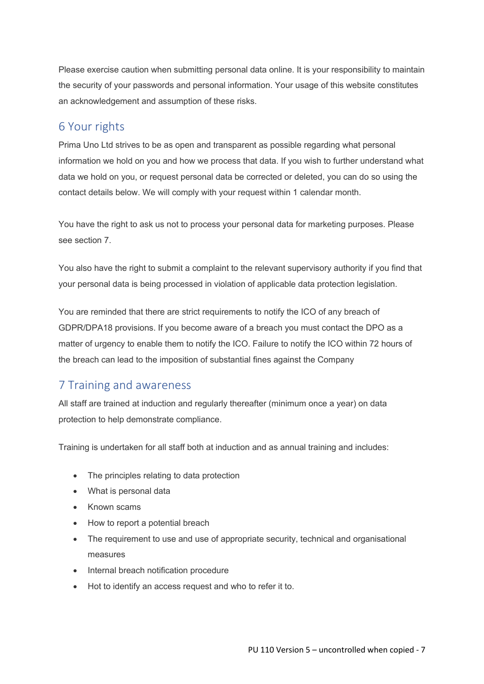Please exercise caution when submitting personal data online. It is your responsibility to maintain the security of your passwords and personal information. Your usage of this website constitutes an acknowledgement and assumption of these risks.

#### <span id="page-6-0"></span>6 Your rights

Prima Uno Ltd strives to be as open and transparent as possible regarding what personal information we hold on you and how we process that data. If you wish to further understand what data we hold on you, or request personal data be corrected or deleted, you can do so using the contact details below. We will comply with your request within 1 calendar month.

You have the right to ask us not to process your personal data for marketing purposes. Please see section 7.

You also have the right to submit a complaint to the relevant supervisory authority if you find that your personal data is being processed in violation of applicable data protection legislation.

You are reminded that there are strict requirements to notify the ICO of any breach of GDPR/DPA18 provisions. If you become aware of a breach you must contact the DPO as a matter of urgency to enable them to notify the ICO. Failure to notify the ICO within 72 hours of the breach can lead to the imposition of substantial fines against the Company

## <span id="page-6-1"></span>7 Training and awareness

All staff are trained at induction and regularly thereafter (minimum once a year) on data protection to help demonstrate compliance.

Training is undertaken for all staff both at induction and as annual training and includes:

- The principles relating to data protection
- What is personal data
- Known scams
- How to report a potential breach
- The requirement to use and use of appropriate security, technical and organisational measures
- Internal breach notification procedure
- Hot to identify an access request and who to refer it to.